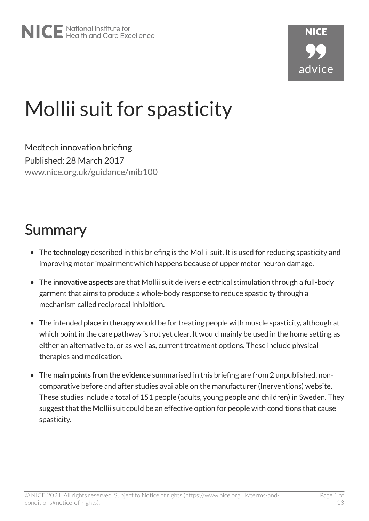# Mollii suit for spasticity

Medtech innovation briefing Published: 28 March 2017 [www.nice.org.uk/guidance/mib100](https://www.nice.org.uk/guidance/mib100)

## Summary

- The technology described in this briefing is the Mollii suit. It is used for reducing spasticity and improving motor impairment which happens because of upper motor neuron damage.
- The innovative aspects are that Mollii suit delivers electrical stimulation through a full-body garment that aims to produce a whole-body response to reduce spasticity through a mechanism called reciprocal inhibition.
- The intended place in therapy would be for treating people with muscle spasticity, although at which point in the care pathway is not yet clear. It would mainly be used in the home setting as either an alternative to, or as well as, current treatment options. These include physical therapies and medication.
- The main points from the evidence summarised in this briefing are from 2 unpublished, noncomparative before and after studies available on the manufacturer (Inerventions) website. These studies include a total of 151 people (adults, young people and children) in Sweden. They suggest that the Mollii suit could be an effective option for people with conditions that cause spasticity.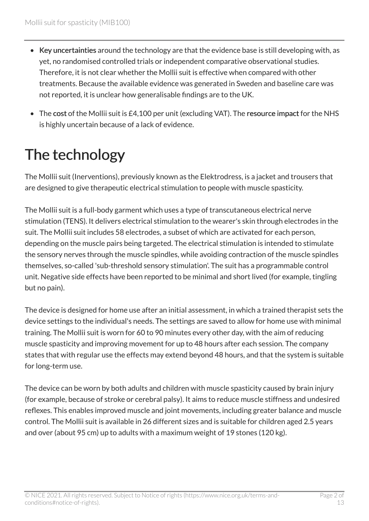- Key uncertainties around the technology are that the evidence base is still developing with, as yet, no randomised controlled trials or independent comparative observational studies. Therefore, it is not clear whether the Mollii suit is effective when compared with other treatments. Because the available evidence was generated in Sweden and baseline care was not reported, it is unclear how generalisable findings are to the UK.
- The cost of the Mollii suit is £4,100 per unit (excluding VAT). The resource impact for the NHS is highly uncertain because of a lack of evidence.

# The technology

The Mollii suit (Inerventions), previously known as the Elektrodress, is a jacket and trousers that are designed to give therapeutic electrical stimulation to people with muscle spasticity.

The Mollii suit is a full-body garment which uses a type of transcutaneous electrical nerve stimulation (TENS). It delivers electrical stimulation to the wearer's skin through electrodes in the suit. The Mollii suit includes 58 electrodes, a subset of which are activated for each person, depending on the muscle pairs being targeted. The electrical stimulation is intended to stimulate the sensory nerves through the muscle spindles, while avoiding contraction of the muscle spindles themselves, so-called 'sub-threshold sensory stimulation'. The suit has a programmable control unit. Negative side effects have been reported to be minimal and short lived (for example, tingling but no pain).

The device is designed for home use after an initial assessment, in which a trained therapist sets the device settings to the individual's needs. The settings are saved to allow for home use with minimal training. The Mollii suit is worn for 60 to 90 minutes every other day, with the aim of reducing muscle spasticity and improving movement for up to 48 hours after each session. The company states that with regular use the effects may extend beyond 48 hours, and that the system is suitable for long-term use.

The device can be worn by both adults and children with muscle spasticity caused by brain injury (for example, because of stroke or cerebral palsy). It aims to reduce muscle stiffness and undesired reflexes. This enables improved muscle and joint movements, including greater balance and muscle control. The Mollii suit is available in 26 different sizes and is suitable for children aged 2.5 years and over (about 95 cm) up to adults with a maximum weight of 19 stones (120 kg).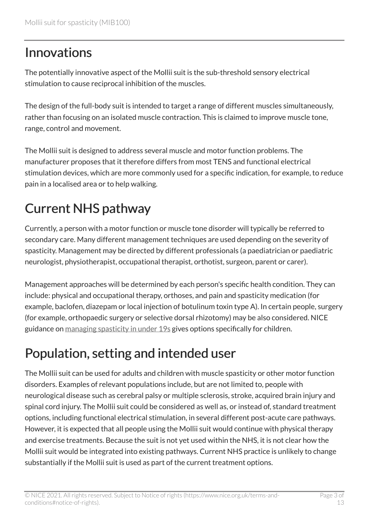#### Innovations

The potentially innovative aspect of the Mollii suit is the sub-threshold sensory electrical stimulation to cause reciprocal inhibition of the muscles.

The design of the full-body suit is intended to target a range of different muscles simultaneously, rather than focusing on an isolated muscle contraction. This is claimed to improve muscle tone, range, control and movement.

The Mollii suit is designed to address several muscle and motor function problems. The manufacturer proposes that it therefore differs from most TENS and functional electrical stimulation devices, which are more commonly used for a specific indication, for example, to reduce pain in a localised area or to help walking.

## Current NHS pathway

Currently, a person with a motor function or muscle tone disorder will typically be referred to secondary care. Many different management techniques are used depending on the severity of spasticity. Management may be directed by different professionals (a paediatrician or paediatric neurologist, physiotherapist, occupational therapist, orthotist, surgeon, parent or carer).

Management approaches will be determined by each person's specific health condition. They can include: physical and occupational therapy, orthoses, and pain and spasticity medication (for example, baclofen, diazepam or local injection of botulinum toxin type A). In certain people, surgery (for example, orthopaedic surgery or selective dorsal rhizotomy) may be also considered. NICE guidance on [managing spasticity in under 19s](http://www.nice.org.uk/guidance/cg145) gives options specifically for children.

## Population, setting and intended user

The Mollii suit can be used for adults and children with muscle spasticity or other motor function disorders. Examples of relevant populations include, but are not limited to, people with neurological disease such as cerebral palsy or multiple sclerosis, stroke, acquired brain injury and spinal cord injury. The Mollii suit could be considered as well as, or instead of, standard treatment options, including functional electrical stimulation, in several different post-acute care pathways. However, it is expected that all people using the Mollii suit would continue with physical therapy and exercise treatments. Because the suit is not yet used within the NHS, it is not clear how the Mollii suit would be integrated into existing pathways. Current NHS practice is unlikely to change substantially if the Mollii suit is used as part of the current treatment options.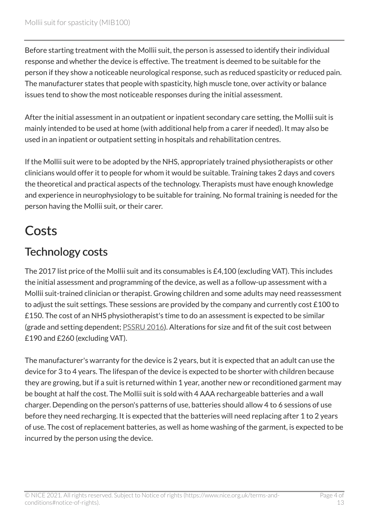Before starting treatment with the Mollii suit, the person is assessed to identify their individual response and whether the device is effective. The treatment is deemed to be suitable for the person if they show a noticeable neurological response, such as reduced spasticity or reduced pain. The manufacturer states that people with spasticity, high muscle tone, over activity or balance issues tend to show the most noticeable responses during the initial assessment.

After the initial assessment in an outpatient or inpatient secondary care setting, the Mollii suit is mainly intended to be used at home (with additional help from a carer if needed). It may also be used in an inpatient or outpatient setting in hospitals and rehabilitation centres.

If the Mollii suit were to be adopted by the NHS, appropriately trained physiotherapists or other clinicians would offer it to people for whom it would be suitable. Training takes 2 days and covers the theoretical and practical aspects of the technology. Therapists must have enough knowledge and experience in neurophysiology to be suitable for training. No formal training is needed for the person having the Mollii suit, or their carer.

#### **Costs**

#### Technology costs

The 2017 list price of the Mollii suit and its consumables is £4,100 (excluding VAT). This includes the initial assessment and programming of the device, as well as a follow-up assessment with a Mollii suit-trained clinician or therapist. Growing children and some adults may need reassessment to adjust the suit settings. These sessions are provided by the company and currently cost £100 to £150. The cost of an NHS physiotherapist's time to do an assessment is expected to be similar (grade and setting dependent; [PSSRU 2016\)](http://www.pssru.ac.uk/project-pages/unit-costs/). Alterations for size and fit of the suit cost between £190 and £260 (excluding VAT).

The manufacturer's warranty for the device is 2 years, but it is expected that an adult can use the device for 3 to 4 years. The lifespan of the device is expected to be shorter with children because they are growing, but if a suit is returned within 1 year, another new or reconditioned garment may be bought at half the cost. The Mollii suit is sold with 4 AAA rechargeable batteries and a wall charger. Depending on the person's patterns of use, batteries should allow 4 to 6 sessions of use before they need recharging. It is expected that the batteries will need replacing after 1 to 2 years of use. The cost of replacement batteries, as well as home washing of the garment, is expected to be incurred by the person using the device.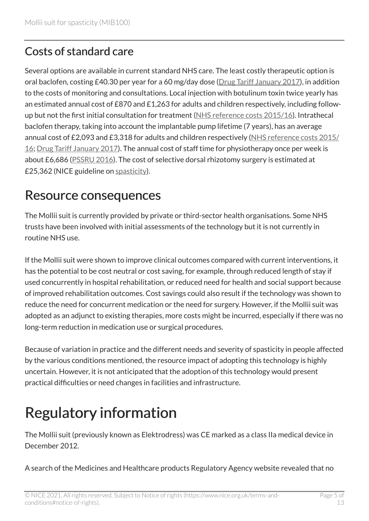#### Costs of standard care

Several options are available in current standard NHS care. The least costly therapeutic option is oral baclofen, costing £40.30 per year for a 60 mg/day dose ([Drug Tariff January 2017\)](http://www.drugtariff.nhsbsa.nhs.uk/#/00446515-DC_2/DC00445856/Part%20VIIIA%20products%20B), in addition to the costs of monitoring and consultations. Local injection with botulinum toxin twice yearly has an estimated annual cost of £870 and £1,263 for adults and children respectively, including followup but not the first initial consultation for treatment [\(NHS reference costs 2015/16](https://www.gov.uk/government/publications/nhs-reference-costs-2015-to-2016)). Intrathecal baclofen therapy, taking into account the implantable pump lifetime (7 years), has an average annual cost of £2,093 and £3,318 for adults and children respectively [\(NHS reference costs 2015/](https://www.gov.uk/government/publications/nhs-reference-costs-2015-to-2016) [16;](https://www.gov.uk/government/publications/nhs-reference-costs-2015-to-2016) [Drug Tariff January 2017](http://www.drugtariff.nhsbsa.nhs.uk/#/00429017-DC/DC00428327/Part%20VIIIA%20products%20B)). The annual cost of staff time for physiotherapy once per week is about £6,686 [\(PSSRU 2016\)](http://www.pssru.ac.uk/project-pages/unit-costs/). The cost of selective dorsal rhizotomy surgery is estimated at £25,362 (NICE guideline on [spasticity](http://www.nice.org.uk/guidance/cg145)).

#### Resource consequences

The Mollii suit is currently provided by private or third-sector health organisations. Some NHS trusts have been involved with initial assessments of the technology but it is not currently in routine NHS use.

If the Mollii suit were shown to improve clinical outcomes compared with current interventions, it has the potential to be cost neutral or cost saving, for example, through reduced length of stay if used concurrently in hospital rehabilitation, or reduced need for health and social support because of improved rehabilitation outcomes. Cost savings could also result if the technology was shown to reduce the need for concurrent medication or the need for surgery. However, if the Mollii suit was adopted as an adjunct to existing therapies, more costs might be incurred, especially if there was no long-term reduction in medication use or surgical procedures.

Because of variation in practice and the different needs and severity of spasticity in people affected by the various conditions mentioned, the resource impact of adopting this technology is highly uncertain. However, it is not anticipated that the adoption of this technology would present practical difficulties or need changes in facilities and infrastructure.

# Regulatory information

The Mollii suit (previously known as Elektrodress) was CE marked as a class IIa medical device in December 2012.

A search of the Medicines and Healthcare products Regulatory Agency website revealed that no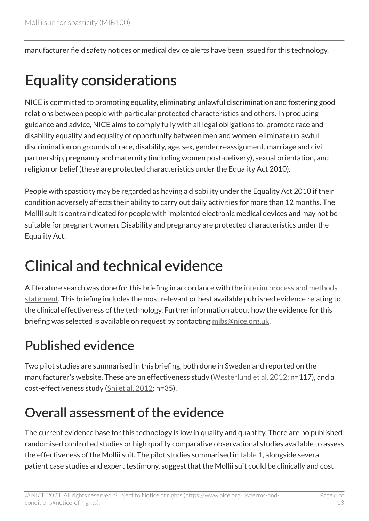manufacturer field safety notices or medical device alerts have been issued for this technology.

## Equality considerations

NICE is committed to promoting equality, eliminating unlawful discrimination and fostering good relations between people with particular protected characteristics and others. In producing guidance and advice, NICE aims to comply fully with all legal obligations to: promote race and disability equality and equality of opportunity between men and women, eliminate unlawful discrimination on grounds of race, disability, age, sex, gender reassignment, marriage and civil partnership, pregnancy and maternity (including women post-delivery), sexual orientation, and religion or belief (these are protected characteristics under the Equality Act 2010).

People with spasticity may be regarded as having a disability under the Equality Act 2010 if their condition adversely affects their ability to carry out daily activities for more than 12 months. The Mollii suit is contraindicated for people with implanted electronic medical devices and may not be suitable for pregnant women. Disability and pregnancy are protected characteristics under the Equality Act.

## Clinical and technical evidence

A literature search was done for this briefing in accordance with the [interim process and methods](https://www.nice.org.uk/Media/Default/About/what-we-do/NICE-advice/Medtech-innovation-briefings/MIB-interim-process-methods-statement.pdf)  [statement.](https://www.nice.org.uk/Media/Default/About/what-we-do/NICE-advice/Medtech-innovation-briefings/MIB-interim-process-methods-statement.pdf) This briefing includes the most relevant or best available published evidence relating to the clinical effectiveness of the technology. Further information about how the evidence for this briefing was selected is available on request by contacting [mibs@nice.org.uk.](mailto:mibs@nice.org.uk)

## Published evidence

Two pilot studies are summarised in this briefing, both done in Sweden and reported on the manufacturer's website. These are an effectiveness study ([Westerlund et al. 2012](http://inerventions.se/en/research/?readmore=the-inerventions-method); n=117), and a cost-effectiveness study [\(Shi et al. 2012](http://inerventions.se/en/research/?readmore=the-inerventions-method); n=35).

#### Overall assessment of the evidence

The current evidence base for this technology is low in quality and quantity. There are no published randomised controlled studies or high quality comparative observational studies available to assess the effectiveness of the Mollii suit. The pilot studies summarised in  $table 1$  $table 1$  $table 1$ , alongside several</u> patient case studies and expert testimony, suggest that the Mollii suit could be clinically and cost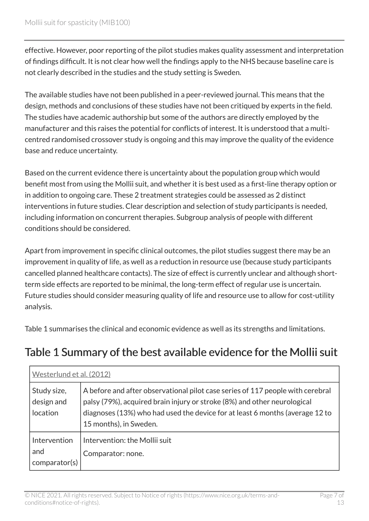effective. However, poor reporting of the pilot studies makes quality assessment and interpretation of findings difficult. It is not clear how well the findings apply to the NHS because baseline care is not clearly described in the studies and the study setting is Sweden.

The available studies have not been published in a peer-reviewed journal. This means that the design, methods and conclusions of these studies have not been critiqued by experts in the field. The studies have academic authorship but some of the authors are directly employed by the manufacturer and this raises the potential for conflicts of interest. It is understood that a multicentred randomised crossover study is ongoing and this may improve the quality of the evidence base and reduce uncertainty.

Based on the current evidence there is uncertainty about the population group which would benefit most from using the Mollii suit, and whether it is best used as a first-line therapy option or in addition to ongoing care. These 2 treatment strategies could be assessed as 2 distinct interventions in future studies. Clear description and selection of study participants is needed, including information on concurrent therapies. Subgroup analysis of people with different conditions should be considered.

Apart from improvement in specific clinical outcomes, the pilot studies suggest there may be an improvement in quality of life, as well as a reduction in resource use (because study participants cancelled planned healthcare contacts). The size of effect is currently unclear and although shortterm side effects are reported to be minimal, the long-term effect of regular use is uncertain. Future studies should consider measuring quality of life and resource use to allow for cost-utility analysis.

Table 1 summarises the clinical and economic evidence as well as its strengths and limitations.

#### <span id="page-6-0"></span>Table 1 Summary of the best available evidence for the Mollii suit

| Westerlund et al. (2012)                     |                                                                                                                                                                                                                                                                      |  |
|----------------------------------------------|----------------------------------------------------------------------------------------------------------------------------------------------------------------------------------------------------------------------------------------------------------------------|--|
| Study size,<br>design and<br><b>location</b> | A before and after observational pilot case series of 117 people with cerebral<br>palsy (79%), acquired brain injury or stroke (8%) and other neurological<br>diagnoses (13%) who had used the device for at least 6 months (average 12 to<br>15 months), in Sweden. |  |
| Intervention<br>and<br>comparator(s)         | Intervention: the Mollii suit<br>Comparator: none.                                                                                                                                                                                                                   |  |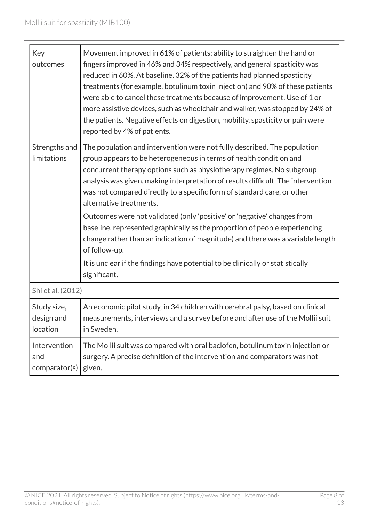| Key<br>outcomes                       | Movement improved in 61% of patients; ability to straighten the hand or<br>fingers improved in 46% and 34% respectively, and general spasticity was<br>reduced in 60%. At baseline, 32% of the patients had planned spasticity<br>treatments (for example, botulinum toxin injection) and 90% of these patients<br>were able to cancel these treatments because of improvement. Use of 1 or<br>more assistive devices, such as wheelchair and walker, was stopped by 24% of<br>the patients. Negative effects on digestion, mobility, spasticity or pain were<br>reported by 4% of patients.                                                                                  |
|---------------------------------------|-------------------------------------------------------------------------------------------------------------------------------------------------------------------------------------------------------------------------------------------------------------------------------------------------------------------------------------------------------------------------------------------------------------------------------------------------------------------------------------------------------------------------------------------------------------------------------------------------------------------------------------------------------------------------------|
| Strengths and<br>limitations          | The population and intervention were not fully described. The population<br>group appears to be heterogeneous in terms of health condition and<br>concurrent therapy options such as physiotherapy regimes. No subgroup<br>analysis was given, making interpretation of results difficult. The intervention<br>was not compared directly to a specific form of standard care, or other<br>alternative treatments.<br>Outcomes were not validated (only 'positive' or 'negative' changes from<br>baseline, represented graphically as the proportion of people experiencing<br>change rather than an indication of magnitude) and there was a variable length<br>of follow-up. |
|                                       | It is unclear if the findings have potential to be clinically or statistically<br>significant.                                                                                                                                                                                                                                                                                                                                                                                                                                                                                                                                                                                |
| Shi et al. (2012)                     |                                                                                                                                                                                                                                                                                                                                                                                                                                                                                                                                                                                                                                                                               |
| Study size,<br>design and<br>location | An economic pilot study, in 34 children with cerebral palsy, based on clinical<br>measurements, interviews and a survey before and after use of the Mollii suit<br>in Sweden.                                                                                                                                                                                                                                                                                                                                                                                                                                                                                                 |
| Intervention<br>and<br>comparator(s)  | The Mollii suit was compared with oral baclofen, botulinum toxin injection or<br>surgery. A precise definition of the intervention and comparators was not<br>given.                                                                                                                                                                                                                                                                                                                                                                                                                                                                                                          |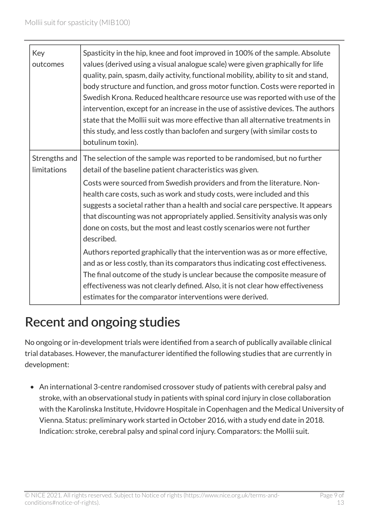|  | Key<br>outcomes              | Spasticity in the hip, knee and foot improved in 100% of the sample. Absolute<br>values (derived using a visual analogue scale) were given graphically for life<br>quality, pain, spasm, daily activity, functional mobility, ability to sit and stand,<br>body structure and function, and gross motor function. Costs were reported in<br>Swedish Krona. Reduced healthcare resource use was reported with use of the<br>intervention, except for an increase in the use of assistive devices. The authors<br>state that the Mollii suit was more effective than all alternative treatments in<br>this study, and less costly than baclofen and surgery (with similar costs to<br>botulinum toxin). |
|--|------------------------------|-------------------------------------------------------------------------------------------------------------------------------------------------------------------------------------------------------------------------------------------------------------------------------------------------------------------------------------------------------------------------------------------------------------------------------------------------------------------------------------------------------------------------------------------------------------------------------------------------------------------------------------------------------------------------------------------------------|
|  | Strengths and<br>limitations | The selection of the sample was reported to be randomised, but no further<br>detail of the baseline patient characteristics was given.<br>Costs were sourced from Swedish providers and from the literature. Non-<br>health care costs, such as work and study costs, were included and this<br>suggests a societal rather than a health and social care perspective. It appears<br>that discounting was not appropriately applied. Sensitivity analysis was only<br>done on costs, but the most and least costly scenarios were not further<br>described.                                                                                                                                            |
|  |                              | Authors reported graphically that the intervention was as or more effective,<br>and as or less costly, than its comparators thus indicating cost effectiveness.<br>The final outcome of the study is unclear because the composite measure of<br>effectiveness was not clearly defined. Also, it is not clear how effectiveness<br>estimates for the comparator interventions were derived.                                                                                                                                                                                                                                                                                                           |

#### Recent and ongoing studies

No ongoing or in-development trials were identified from a search of publically available clinical trial databases. However, the manufacturer identified the following studies that are currently in development:

• An international 3-centre randomised crossover study of patients with cerebral palsy and stroke, with an observational study in patients with spinal cord injury in close collaboration with the Karolinska Institute, Hvidovre Hospitale in Copenhagen and the Medical University of Vienna. Status: preliminary work started in October 2016, with a study end date in 2018. Indication: stroke, cerebral palsy and spinal cord injury. Comparators: the Mollii suit.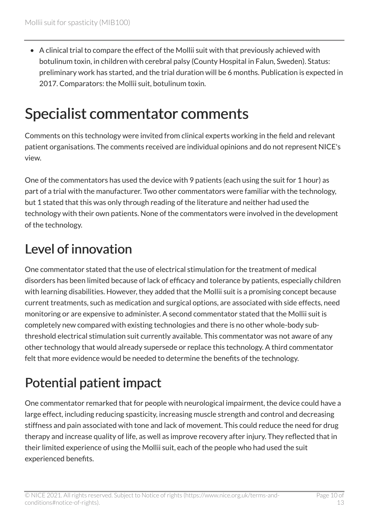• A clinical trial to compare the effect of the Mollii suit with that previously achieved with botulinum toxin, in children with cerebral palsy (County Hospital in Falun, Sweden). Status: preliminary work has started, and the trial duration will be 6 months. Publication is expected in 2017. Comparators: the Mollii suit, botulinum toxin.

## Specialist commentator comments

Comments on this technology were invited from clinical experts working in the field and relevant patient organisations. The comments received are individual opinions and do not represent NICE's view.

One of the commentators has used the device with 9 patients (each using the suit for 1 hour) as part of a trial with the manufacturer. Two other commentators were familiar with the technology, but 1 stated that this was only through reading of the literature and neither had used the technology with their own patients. None of the commentators were involved in the development of the technology.

#### Level of innovation

One commentator stated that the use of electrical stimulation for the treatment of medical disorders has been limited because of lack of efficacy and tolerance by patients, especially children with learning disabilities. However, they added that the Mollii suit is a promising concept because current treatments, such as medication and surgical options, are associated with side effects, need monitoring or are expensive to administer. A second commentator stated that the Mollii suit is completely new compared with existing technologies and there is no other whole-body subthreshold electrical stimulation suit currently available. This commentator was not aware of any other technology that would already supersede or replace this technology. A third commentator felt that more evidence would be needed to determine the benefits of the technology.

## Potential patient impact

One commentator remarked that for people with neurological impairment, the device could have a large effect, including reducing spasticity, increasing muscle strength and control and decreasing stiffness and pain associated with tone and lack of movement. This could reduce the need for drug therapy and increase quality of life, as well as improve recovery after injury. They reflected that in their limited experience of using the Mollii suit, each of the people who had used the suit experienced benefits.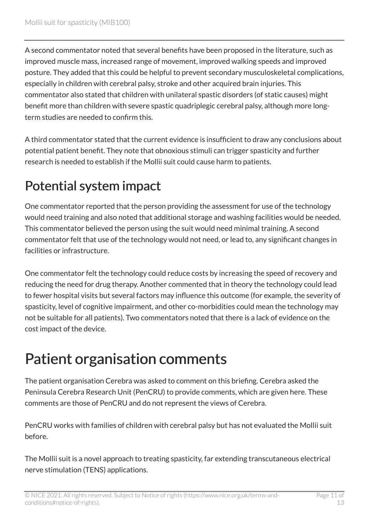A second commentator noted that several benefits have been proposed in the literature, such as improved muscle mass, increased range of movement, improved walking speeds and improved posture. They added that this could be helpful to prevent secondary musculoskeletal complications, especially in children with cerebral palsy, stroke and other acquired brain injuries. This commentator also stated that children with unilateral spastic disorders (of static causes) might benefit more than children with severe spastic quadriplegic cerebral palsy, although more longterm studies are needed to confirm this.

A third commentator stated that the current evidence is insufficient to draw any conclusions about potential patient benefit. They note that obnoxious stimuli can trigger spasticity and further research is needed to establish if the Mollii suit could cause harm to patients.

## Potential system impact

One commentator reported that the person providing the assessment for use of the technology would need training and also noted that additional storage and washing facilities would be needed. This commentator believed the person using the suit would need minimal training. A second commentator felt that use of the technology would not need, or lead to, any significant changes in facilities or infrastructure.

One commentator felt the technology could reduce costs by increasing the speed of recovery and reducing the need for drug therapy. Another commented that in theory the technology could lead to fewer hospital visits but several factors may influence this outcome (for example, the severity of spasticity, level of cognitive impairment, and other co-morbidities could mean the technology may not be suitable for all patients). Two commentators noted that there is a lack of evidence on the cost impact of the device.

# Patient organisation comments

The patient organisation Cerebra was asked to comment on this briefing. Cerebra asked the Peninsula Cerebra Research Unit (PenCRU) to provide comments, which are given here. These comments are those of PenCRU and do not represent the views of Cerebra.

PenCRU works with families of children with cerebral palsy but has not evaluated the Mollii suit before.

The Mollii suit is a novel approach to treating spasticity, far extending transcutaneous electrical nerve stimulation (TENS) applications.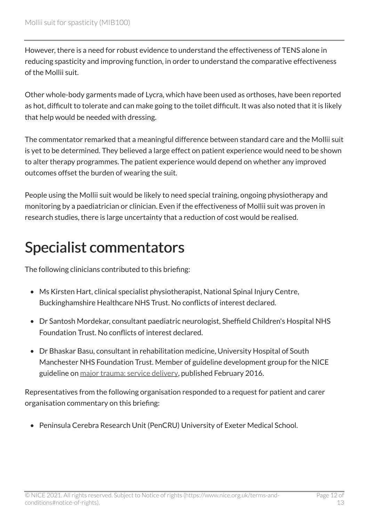However, there is a need for robust evidence to understand the effectiveness of TENS alone in reducing spasticity and improving function, in order to understand the comparative effectiveness of the Mollii suit.

Other whole-body garments made of Lycra, which have been used as orthoses, have been reported as hot, difficult to tolerate and can make going to the toilet difficult. It was also noted that it is likely that help would be needed with dressing.

The commentator remarked that a meaningful difference between standard care and the Mollii suit is yet to be determined. They believed a large effect on patient experience would need to be shown to alter therapy programmes. The patient experience would depend on whether any improved outcomes offset the burden of wearing the suit.

People using the Mollii suit would be likely to need special training, ongoing physiotherapy and monitoring by a paediatrician or clinician. Even if the effectiveness of Mollii suit was proven in research studies, there is large uncertainty that a reduction of cost would be realised.

## Specialist commentators

The following clinicians contributed to this briefing:

- Ms Kirsten Hart, clinical specialist physiotherapist, National Spinal Injury Centre, Buckinghamshire Healthcare NHS Trust. No conflicts of interest declared.
- Dr Santosh Mordekar, consultant paediatric neurologist, Sheffield Children's Hospital NHS Foundation Trust. No conflicts of interest declared.
- Dr Bhaskar Basu, consultant in rehabilitation medicine, University Hospital of South Manchester NHS Foundation Trust. Member of guideline development group for the NICE guideline on [major trauma: service delivery](http://www.nice.org.uk/guidance/ng40), published February 2016.

Representatives from the following organisation responded to a request for patient and carer organisation commentary on this briefing:

• Peninsula Cerebra Research Unit (PenCRU) University of Exeter Medical School.